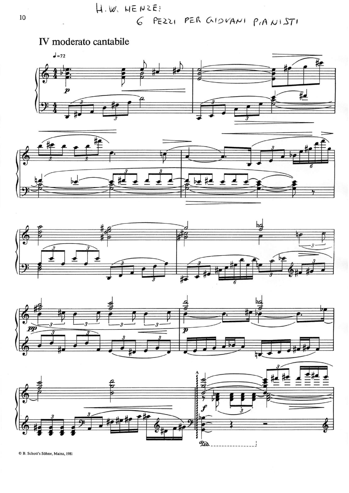$6$  PEZZI PER GIOVANI PIANISTI

## IV moderato cantabile











 $© B. Schott's Söhne, Mainz, 1981$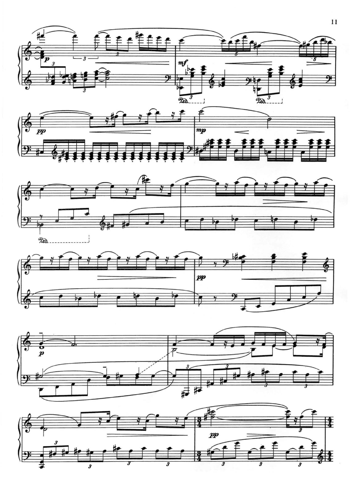









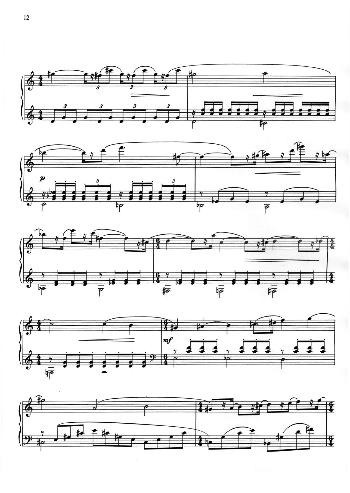